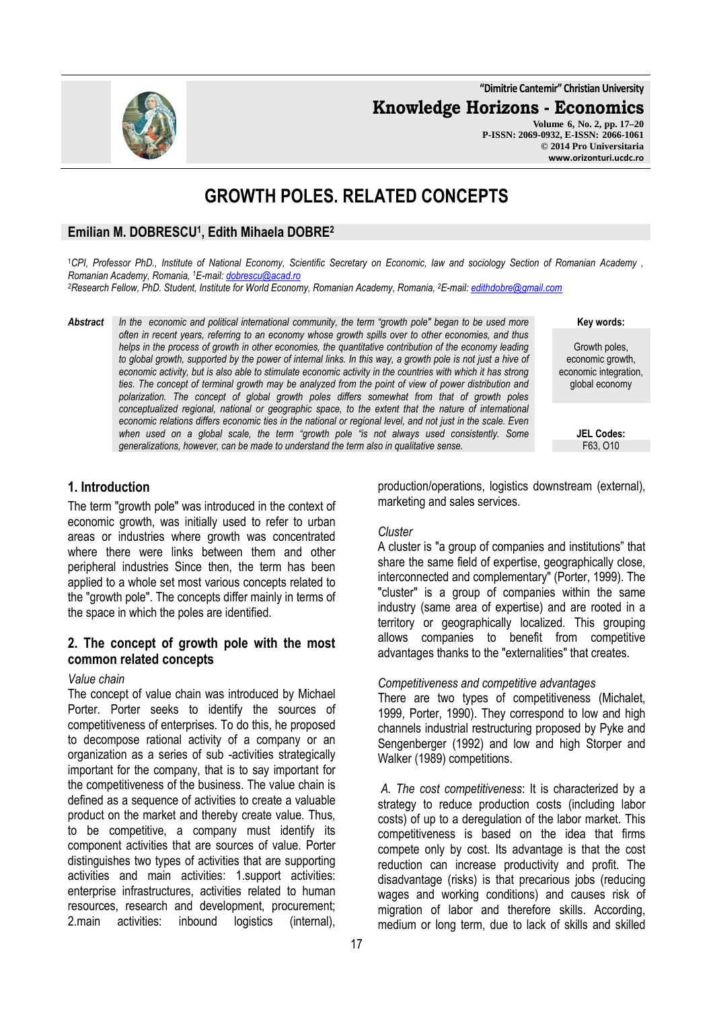**"Dimitrie Cantemir" Christian University**

**Knowledge Horizons - Economics**

**Volume 6, No. 2, pp. 17–20 P-ISSN: 2069-0932, E-ISSN: 2066-1061 © 2014 Pro Universitaria www.orizonturi.ucdc.ro**

# **GROWTH POLES. RELATED CONCEPTS**

# **Emilian M. DOBRESCU<sup>1</sup> , Edith Mihaela DOBRE<sup>2</sup>**

<sup>1</sup>*CPI, Professor PhD., Institute of National Economy, Scientific Secretary on Economic, law and sociology Section of Romanian Academy , Romanian Academy, Romania, <sup>1</sup>E-mail: dobrescu@acad.ro* 

*<sup>2</sup>Research Fellow, PhD. Student, Institute for World Economy, Romanian Academy, Romania, <sup>2</sup>E-mail: edithdobre@gmail.com* 

*Abstract In the economic and political international community, the term "growth pole" began to be used more often in recent years, referring to an economy whose growth spills over to other economies, and thus helps in the process of growth in other economies, the quantitative contribution of the economy leading*  to global growth, supported by the power of internal links. In this way, a growth pole is not just a hive of *economic activity, but is also able to stimulate economic activity in the countries with which it has strong ties. The concept of terminal growth may be analyzed from the point of view of power distribution and polarization. The concept of global growth poles differs somewhat from that of growth poles conceptualized regional, national or geographic space, to the extent that the nature of international economic relations differs economic ties in the national or regional level, and not just in the scale. Even when used on a global scale, the term "growth pole "is not always used consistently. Some generalizations, however, can be made to understand the term also in qualitative sense.* 

#### **Key words:**

Growth poles, economic growth, economic integration, global economy

> **JEL Codes:** F63, O10

# **1. Introduction**

The term "growth pole" was introduced in the context of economic growth, was initially used to refer to urban areas or industries where growth was concentrated where there were links between them and other peripheral industries Since then, the term has been applied to a whole set most various concepts related to the "growth pole". The concepts differ mainly in terms of the space in which the poles are identified.

# **2. The concept of growth pole with the most common related concepts**

#### *Value chain*

The concept of value chain was introduced by Michael Porter. Porter seeks to identify the sources of competitiveness of enterprises. To do this, he proposed to decompose rational activity of a company or an organization as a series of sub -activities strategically important for the company, that is to say important for the competitiveness of the business. The value chain is defined as a sequence of activities to create a valuable product on the market and thereby create value. Thus, to be competitive, a company must identify its component activities that are sources of value. Porter distinguishes two types of activities that are supporting activities and main activities: 1.support activities: enterprise infrastructures, activities related to human resources, research and development, procurement; 2.main activities: inbound logistics (internal),

production/operations, logistics downstream (external), marketing and sales services.

#### *Cluster*

A cluster is "a group of companies and institutions" that share the same field of expertise, geographically close, interconnected and complementary" (Porter, 1999). The "cluster" is a group of companies within the same industry (same area of expertise) and are rooted in a territory or geographically localized. This grouping allows companies to benefit from competitive advantages thanks to the "externalities" that creates.

#### *Competitiveness and competitive advantages*

There are two types of competitiveness (Michalet, 1999, Porter, 1990). They correspond to low and high channels industrial restructuring proposed by Pyke and Sengenberger (1992) and low and high Storper and Walker (1989) competitions.

*A. The cost competitiveness*: It is characterized by a strategy to reduce production costs (including labor costs) of up to a deregulation of the labor market. This competitiveness is based on the idea that firms compete only by cost. Its advantage is that the cost reduction can increase productivity and profit. The disadvantage (risks) is that precarious jobs (reducing wages and working conditions) and causes risk of migration of labor and therefore skills. According, medium or long term, due to lack of skills and skilled

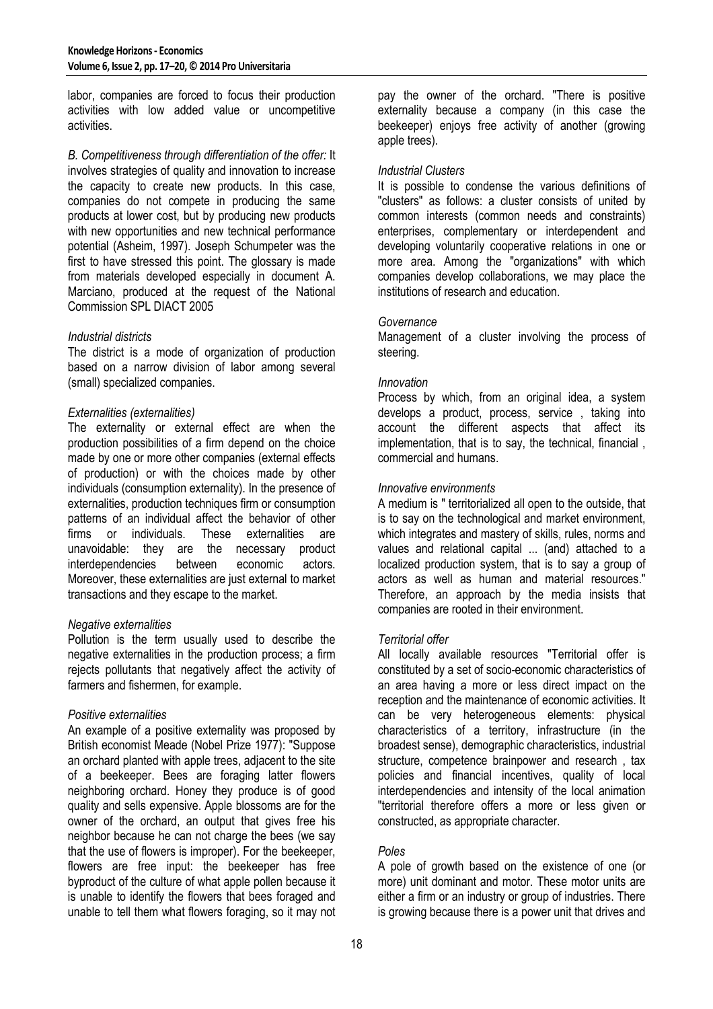labor, companies are forced to focus their production activities with low added value or uncompetitive activities.

*B. Competitiveness through differentiation of the offer:* It involves strategies of quality and innovation to increase the capacity to create new products. In this case, companies do not compete in producing the same products at lower cost, but by producing new products with new opportunities and new technical performance potential (Asheim, 1997). Joseph Schumpeter was the first to have stressed this point. The glossary is made from materials developed especially in document A. Marciano, produced at the request of the National Commission SPL DIACT 2005

### *Industrial districts*

The district is a mode of organization of production based on a narrow division of labor among several (small) specialized companies.

### *Externalities (externalities)*

The externality or external effect are when the production possibilities of a firm depend on the choice made by one or more other companies (external effects of production) or with the choices made by other individuals (consumption externality). In the presence of externalities, production techniques firm or consumption patterns of an individual affect the behavior of other firms or individuals. These externalities are unavoidable: they are the necessary product interdependencies between economic actors. Moreover, these externalities are just external to market transactions and they escape to the market.

# *Negative externalities*

Pollution is the term usually used to describe the negative externalities in the production process; a firm rejects pollutants that negatively affect the activity of farmers and fishermen, for example.

# *Positive externalities*

An example of a positive externality was proposed by British economist Meade (Nobel Prize 1977): "Suppose an orchard planted with apple trees, adjacent to the site of a beekeeper. Bees are foraging latter flowers neighboring orchard. Honey they produce is of good quality and sells expensive. Apple blossoms are for the owner of the orchard, an output that gives free his neighbor because he can not charge the bees (we say that the use of flowers is improper). For the beekeeper, flowers are free input: the beekeeper has free byproduct of the culture of what apple pollen because it is unable to identify the flowers that bees foraged and unable to tell them what flowers foraging, so it may not pay the owner of the orchard. "There is positive externality because a company (in this case the beekeeper) enjoys free activity of another (growing apple trees).

## *Industrial Clusters*

It is possible to condense the various definitions of "clusters" as follows: a cluster consists of united by common interests (common needs and constraints) enterprises, complementary or interdependent and developing voluntarily cooperative relations in one or more area. Among the "organizations" with which companies develop collaborations, we may place the institutions of research and education.

### *Governance*

Management of a cluster involving the process of steering.

### *Innovation*

Process by which, from an original idea, a system develops a product, process, service , taking into account the different aspects that affect its implementation, that is to say, the technical, financial , commercial and humans.

### *Innovative environments*

A medium is " territorialized all open to the outside, that is to say on the technological and market environment, which integrates and mastery of skills, rules, norms and values and relational capital ... (and) attached to a localized production system, that is to say a group of actors as well as human and material resources." Therefore, an approach by the media insists that companies are rooted in their environment.

#### *Territorial offer*

All locally available resources "Territorial offer is constituted by a set of socio-economic characteristics of an area having a more or less direct impact on the reception and the maintenance of economic activities. It can be very heterogeneous elements: physical characteristics of a territory, infrastructure (in the broadest sense), demographic characteristics, industrial structure, competence brainpower and research , tax policies and financial incentives, quality of local interdependencies and intensity of the local animation "territorial therefore offers a more or less given or constructed, as appropriate character.

# *Poles*

A pole of growth based on the existence of one (or more) unit dominant and motor. These motor units are either a firm or an industry or group of industries. There is growing because there is a power unit that drives and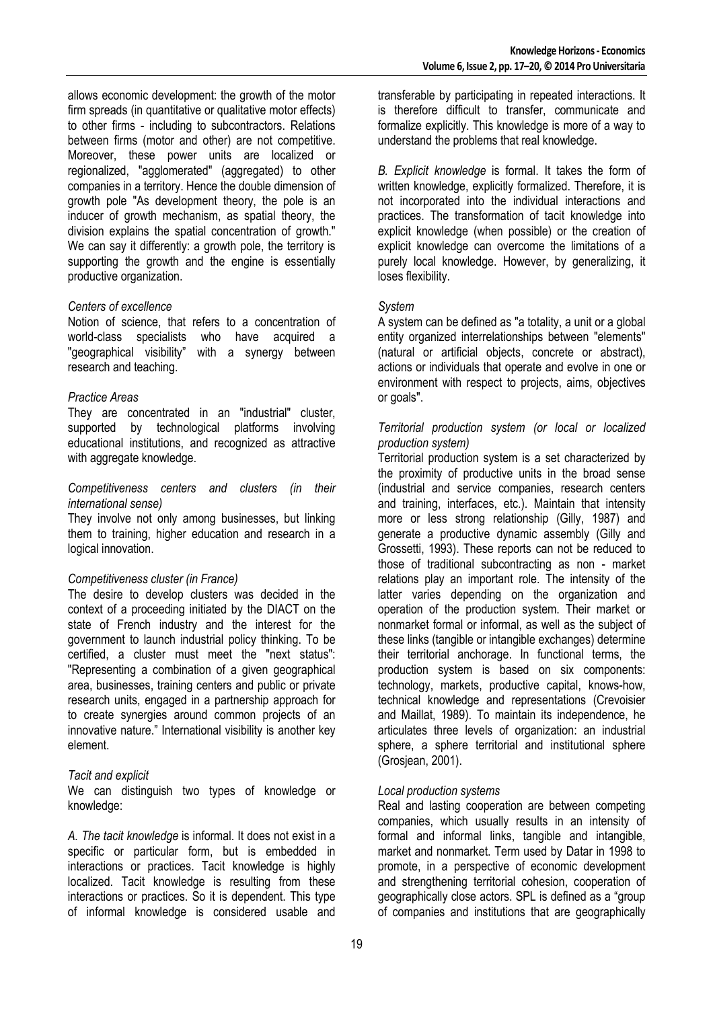allows economic development: the growth of the motor firm spreads (in quantitative or qualitative motor effects) to other firms - including to subcontractors. Relations between firms (motor and other) are not competitive. Moreover, these power units are localized or regionalized, "agglomerated" (aggregated) to other companies in a territory. Hence the double dimension of growth pole "As development theory, the pole is an inducer of growth mechanism, as spatial theory, the division explains the spatial concentration of growth." We can say it differently: a growth pole, the territory is supporting the growth and the engine is essentially productive organization.

#### *Centers of excellence*

Notion of science, that refers to a concentration of world-class specialists who have acquired a "geographical visibility" with a synergy between research and teaching.

#### *Practice Areas*

They are concentrated in an "industrial" cluster, supported by technological platforms involving educational institutions, and recognized as attractive with aggregate knowledge.

#### *Competitiveness centers and clusters (in their international sense)*

They involve not only among businesses, but linking them to training, higher education and research in a logical innovation.

#### *Competitiveness cluster (in France)*

The desire to develop clusters was decided in the context of a proceeding initiated by the DIACT on the state of French industry and the interest for the government to launch industrial policy thinking. To be certified, a cluster must meet the "next status": "Representing a combination of a given geographical area, businesses, training centers and public or private research units, engaged in a partnership approach for to create synergies around common projects of an innovative nature." International visibility is another key element.

#### *Tacit and explicit*

We can distinguish two types of knowledge or knowledge:

*A. The tacit knowledge* is informal. It does not exist in a specific or particular form, but is embedded in interactions or practices. Tacit knowledge is highly localized. Tacit knowledge is resulting from these interactions or practices. So it is dependent. This type of informal knowledge is considered usable and

transferable by participating in repeated interactions. It is therefore difficult to transfer, communicate and formalize explicitly. This knowledge is more of a way to understand the problems that real knowledge.

*B. Explicit knowledge* is formal. It takes the form of written knowledge, explicitly formalized. Therefore, it is not incorporated into the individual interactions and practices. The transformation of tacit knowledge into explicit knowledge (when possible) or the creation of explicit knowledge can overcome the limitations of a purely local knowledge. However, by generalizing, it loses flexibility.

### *System*

A system can be defined as "a totality, a unit or a global entity organized interrelationships between "elements" (natural or artificial objects, concrete or abstract), actions or individuals that operate and evolve in one or environment with respect to projects, aims, objectives or goals".

## *Territorial production system (or local or localized production system)*

Territorial production system is a set characterized by the proximity of productive units in the broad sense (industrial and service companies, research centers and training, interfaces, etc.). Maintain that intensity more or less strong relationship (Gilly, 1987) and generate a productive dynamic assembly (Gilly and Grossetti, 1993). These reports can not be reduced to those of traditional subcontracting as non - market relations play an important role. The intensity of the latter varies depending on the organization and operation of the production system. Their market or nonmarket formal or informal, as well as the subject of these links (tangible or intangible exchanges) determine their territorial anchorage. In functional terms, the production system is based on six components: technology, markets, productive capital, knows-how, technical knowledge and representations (Crevoisier and Maillat, 1989). To maintain its independence, he articulates three levels of organization: an industrial sphere, a sphere territorial and institutional sphere (Grosjean, 2001).

# *Local production systems*

Real and lasting cooperation are between competing companies, which usually results in an intensity of formal and informal links, tangible and intangible, market and nonmarket. Term used by Datar in 1998 to promote, in a perspective of economic development and strengthening territorial cohesion, cooperation of geographically close actors. SPL is defined as a "group of companies and institutions that are geographically